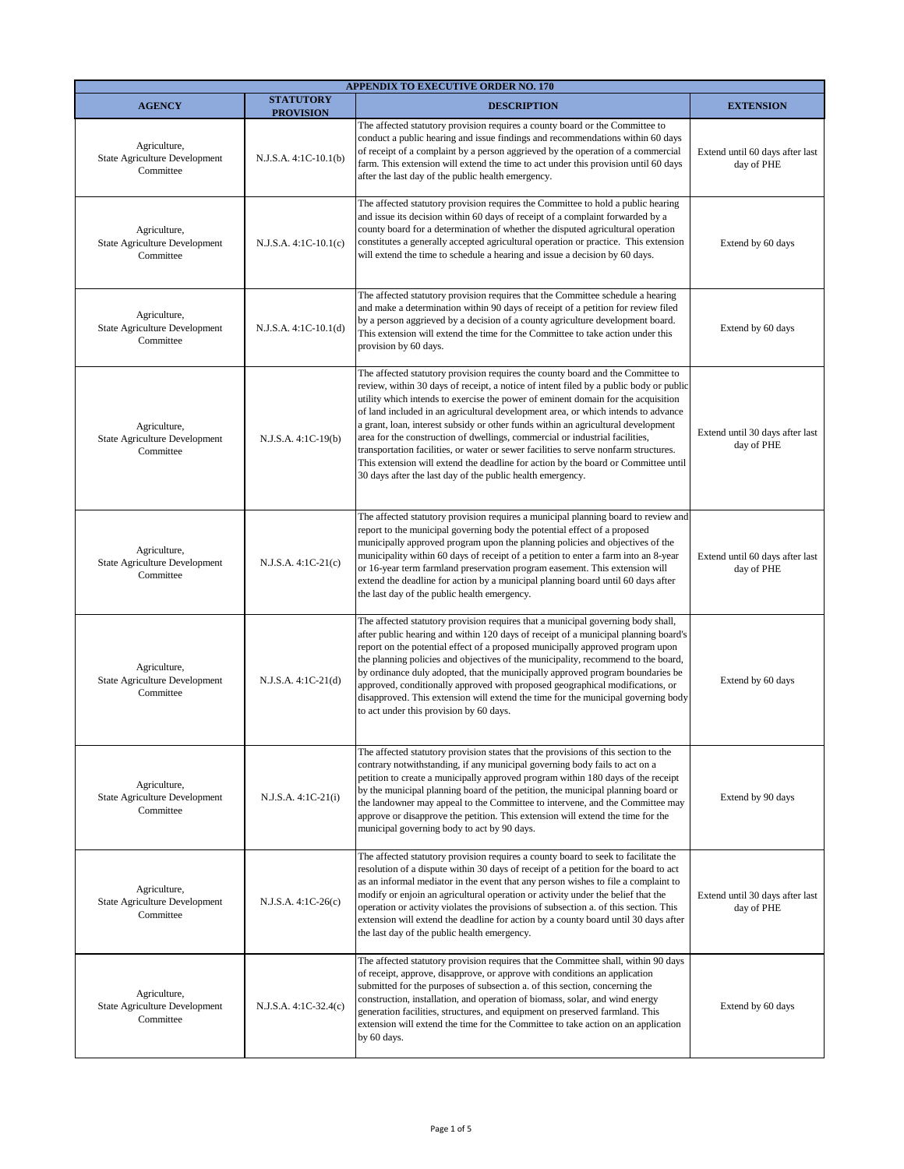| <b>APPENDIX TO EXECUTIVE ORDER NO. 170</b>                        |                                      |                                                                                                                                                                                                                                                                                                                                                                                                                                                                                                                                                                                                                                                                                                                                                                      |                                               |
|-------------------------------------------------------------------|--------------------------------------|----------------------------------------------------------------------------------------------------------------------------------------------------------------------------------------------------------------------------------------------------------------------------------------------------------------------------------------------------------------------------------------------------------------------------------------------------------------------------------------------------------------------------------------------------------------------------------------------------------------------------------------------------------------------------------------------------------------------------------------------------------------------|-----------------------------------------------|
| <b>AGENCY</b>                                                     | <b>STATUTORY</b><br><b>PROVISION</b> | <b>DESCRIPTION</b>                                                                                                                                                                                                                                                                                                                                                                                                                                                                                                                                                                                                                                                                                                                                                   | <b>EXTENSION</b>                              |
| Agriculture,<br>State Agriculture Development<br>Committee        | $N.J.S.A. 4:1C-10.1(b)$              | The affected statutory provision requires a county board or the Committee to<br>conduct a public hearing and issue findings and recommendations within 60 days<br>of receipt of a complaint by a person aggrieved by the operation of a commercial<br>farm. This extension will extend the time to act under this provision until 60 days<br>after the last day of the public health emergency.                                                                                                                                                                                                                                                                                                                                                                      | Extend until 60 days after last<br>day of PHE |
| Agriculture,<br>State Agriculture Development<br>Committee        | N.J.S.A. 4:1C-10.1(c)                | The affected statutory provision requires the Committee to hold a public hearing<br>and issue its decision within 60 days of receipt of a complaint forwarded by a<br>county board for a determination of whether the disputed agricultural operation<br>constitutes a generally accepted agricultural operation or practice. This extension<br>will extend the time to schedule a hearing and issue a decision by 60 days.                                                                                                                                                                                                                                                                                                                                          | Extend by 60 days                             |
| Agriculture,<br>State Agriculture Development<br>Committee        | $N.J.S.A. 4:1C-10.1(d)$              | The affected statutory provision requires that the Committee schedule a hearing<br>and make a determination within 90 days of receipt of a petition for review filed<br>by a person aggrieved by a decision of a county agriculture development board.<br>This extension will extend the time for the Committee to take action under this<br>provision by 60 days.                                                                                                                                                                                                                                                                                                                                                                                                   | Extend by 60 days                             |
| Agriculture,<br>State Agriculture Development<br>Committee        | N.J.S.A. 4:1C-19(b)                  | The affected statutory provision requires the county board and the Committee to<br>review, within 30 days of receipt, a notice of intent filed by a public body or public<br>utility which intends to exercise the power of eminent domain for the acquisition<br>of land included in an agricultural development area, or which intends to advance<br>a grant, loan, interest subsidy or other funds within an agricultural development<br>area for the construction of dwellings, commercial or industrial facilities,<br>transportation facilities, or water or sewer facilities to serve nonfarm structures.<br>This extension will extend the deadline for action by the board or Committee until<br>30 days after the last day of the public health emergency. | Extend until 30 days after last<br>day of PHE |
| Agriculture,<br>State Agriculture Development<br>Committee        | $N.J.S.A. 4:1C-21(c)$                | The affected statutory provision requires a municipal planning board to review and<br>report to the municipal governing body the potential effect of a proposed<br>municipally approved program upon the planning policies and objectives of the<br>municipality within 60 days of receipt of a petition to enter a farm into an 8-year<br>or 16-year term farmland preservation program easement. This extension will<br>extend the deadline for action by a municipal planning board until 60 days after<br>the last day of the public health emergency.                                                                                                                                                                                                           | Extend until 60 days after last<br>day of PHE |
| Agriculture,<br><b>State Agriculture Development</b><br>Committee | $N.J.S.A. 4:1C-21(d)$                | The affected statutory provision requires that a municipal governing body shall,<br>after public hearing and within 120 days of receipt of a municipal planning board's<br>report on the potential effect of a proposed municipally approved program upon<br>the planning policies and objectives of the municipality, recommend to the board,<br>by ordinance duly adopted, that the municipally approved program boundaries be<br>approved, conditionally approved with proposed geographical modifications, or<br>disapproved. This extension will extend the time for the municipal governing body<br>to act under this provision by 60 days.                                                                                                                    | Extend by 60 days                             |
| Agriculture,<br>State Agriculture Development<br>Committee        | N.J.S.A. 4:1C-21(i)                  | The affected statutory provision states that the provisions of this section to the<br>contrary notwithstanding, if any municipal governing body fails to act on a<br>petition to create a municipally approved program within 180 days of the receipt<br>by the municipal planning board of the petition, the municipal planning board or<br>the landowner may appeal to the Committee to intervene, and the Committee may<br>approve or disapprove the petition. This extension will extend the time for the<br>municipal governing body to act by 90 days.                                                                                                                                                                                                         | Extend by 90 days                             |
| Agriculture,<br>State Agriculture Development<br>Committee        | $N.J.S.A. 4:1C-26(c)$                | The affected statutory provision requires a county board to seek to facilitate the<br>resolution of a dispute within 30 days of receipt of a petition for the board to act<br>as an informal mediator in the event that any person wishes to file a complaint to<br>modify or enjoin an agricultural operation or activity under the belief that the<br>operation or activity violates the provisions of subsection a. of this section. This<br>extension will extend the deadline for action by a county board until 30 days after<br>the last day of the public health emergency.                                                                                                                                                                                  | Extend until 30 days after last<br>day of PHE |
| Agriculture,<br>State Agriculture Development<br>Committee        | N.J.S.A. 4:1C-32.4(c)                | The affected statutory provision requires that the Committee shall, within 90 days<br>of receipt, approve, disapprove, or approve with conditions an application<br>submitted for the purposes of subsection a. of this section, concerning the<br>construction, installation, and operation of biomass, solar, and wind energy<br>generation facilities, structures, and equipment on preserved farmland. This<br>extension will extend the time for the Committee to take action on an application<br>by 60 days.                                                                                                                                                                                                                                                  | Extend by 60 days                             |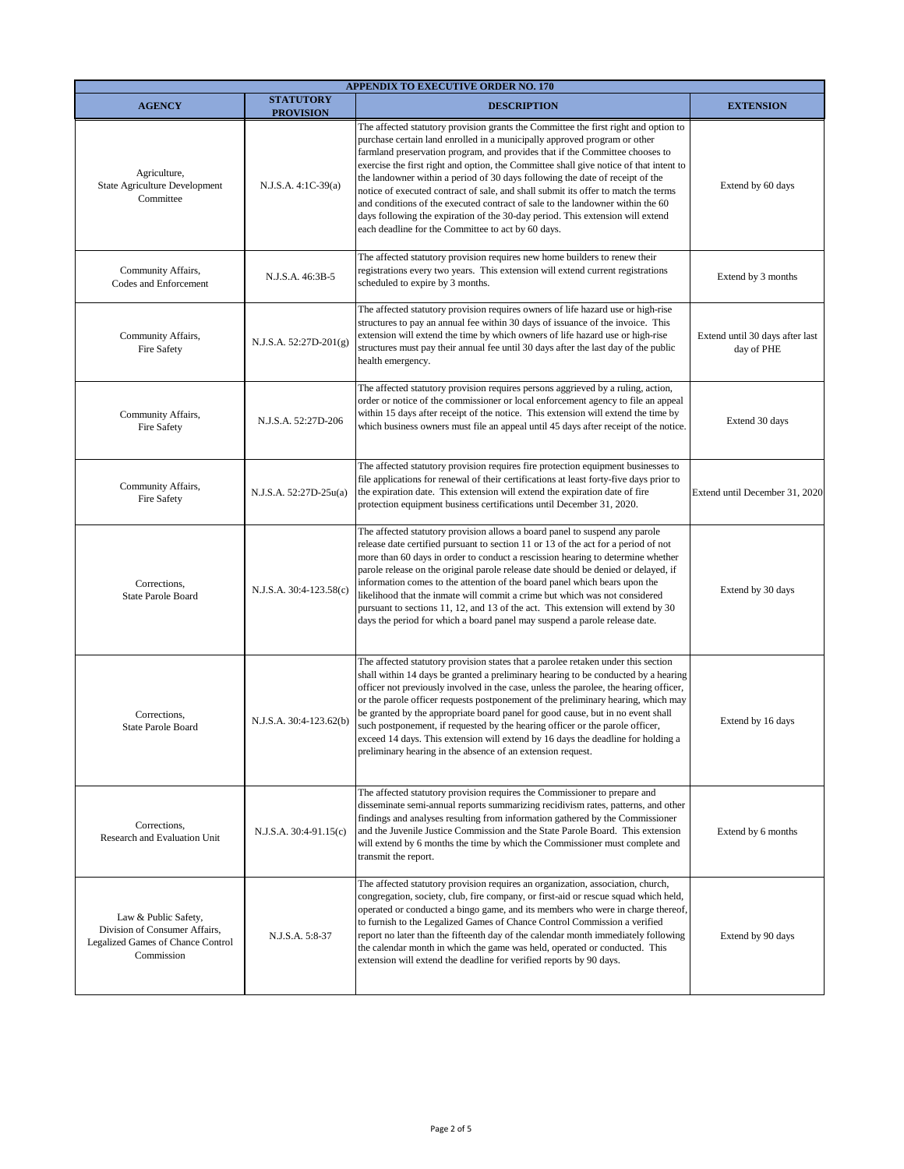|                                                                                                          |                                      | <b>APPENDIX TO EXECUTIVE ORDER NO. 170</b>                                                                                                                                                                                                                                                                                                                                                                                                                                                                                                                                                                                                                                                                                                  |                                               |
|----------------------------------------------------------------------------------------------------------|--------------------------------------|---------------------------------------------------------------------------------------------------------------------------------------------------------------------------------------------------------------------------------------------------------------------------------------------------------------------------------------------------------------------------------------------------------------------------------------------------------------------------------------------------------------------------------------------------------------------------------------------------------------------------------------------------------------------------------------------------------------------------------------------|-----------------------------------------------|
| <b>AGENCY</b>                                                                                            | <b>STATUTORY</b><br><b>PROVISION</b> | <b>DESCRIPTION</b>                                                                                                                                                                                                                                                                                                                                                                                                                                                                                                                                                                                                                                                                                                                          | <b>EXTENSION</b>                              |
| Agriculture,<br>State Agriculture Development<br>Committee                                               | N.J.S.A. 4:1C-39(a)                  | The affected statutory provision grants the Committee the first right and option to<br>purchase certain land enrolled in a municipally approved program or other<br>farmland preservation program, and provides that if the Committee chooses to<br>exercise the first right and option, the Committee shall give notice of that intent to<br>the landowner within a period of 30 days following the date of receipt of the<br>notice of executed contract of sale, and shall submit its offer to match the terms<br>and conditions of the executed contract of sale to the landowner within the 60<br>days following the expiration of the 30-day period. This extension will extend<br>each deadline for the Committee to act by 60 days. | Extend by 60 days                             |
| Community Affairs,<br>Codes and Enforcement                                                              | N.J.S.A. 46:3B-5                     | The affected statutory provision requires new home builders to renew their<br>registrations every two years. This extension will extend current registrations<br>scheduled to expire by 3 months.                                                                                                                                                                                                                                                                                                                                                                                                                                                                                                                                           | Extend by 3 months                            |
| Community Affairs,<br>Fire Safety                                                                        | $N.J.S.A. 52:27D-201(g)$             | The affected statutory provision requires owners of life hazard use or high-rise<br>structures to pay an annual fee within 30 days of issuance of the invoice. This<br>extension will extend the time by which owners of life hazard use or high-rise<br>structures must pay their annual fee until 30 days after the last day of the public<br>health emergency.                                                                                                                                                                                                                                                                                                                                                                           | Extend until 30 days after last<br>day of PHE |
| Community Affairs,<br>Fire Safety                                                                        | N.J.S.A. 52:27D-206                  | The affected statutory provision requires persons aggrieved by a ruling, action,<br>order or notice of the commissioner or local enforcement agency to file an appeal<br>within 15 days after receipt of the notice. This extension will extend the time by<br>which business owners must file an appeal until 45 days after receipt of the notice.                                                                                                                                                                                                                                                                                                                                                                                         | Extend 30 days                                |
| Community Affairs,<br>Fire Safety                                                                        | N.J.S.A. 52:27D-25u(a)               | The affected statutory provision requires fire protection equipment businesses to<br>file applications for renewal of their certifications at least forty-five days prior to<br>the expiration date. This extension will extend the expiration date of fire<br>protection equipment business certifications until December 31, 2020.                                                                                                                                                                                                                                                                                                                                                                                                        | Extend until December 31, 2020                |
| Corrections,<br>State Parole Board                                                                       | N.J.S.A. 30:4-123.58(c)              | The affected statutory provision allows a board panel to suspend any parole<br>release date certified pursuant to section 11 or 13 of the act for a period of not<br>more than 60 days in order to conduct a rescission hearing to determine whether<br>parole release on the original parole release date should be denied or delayed, if<br>information comes to the attention of the board panel which bears upon the<br>likelihood that the inmate will commit a crime but which was not considered<br>pursuant to sections 11, 12, and 13 of the act. This extension will extend by 30<br>days the period for which a board panel may suspend a parole release date.                                                                   | Extend by 30 days                             |
| Corrections,<br>State Parole Board                                                                       | N.J.S.A. 30:4-123.62(b)              | The affected statutory provision states that a parolee retaken under this section<br>shall within 14 days be granted a preliminary hearing to be conducted by a hearing<br>officer not previously involved in the case, unless the parolee, the hearing officer,<br>or the parole officer requests postponement of the preliminary hearing, which may<br>be granted by the appropriate board panel for good cause, but in no event shall<br>such postponement, if requested by the hearing officer or the parole officer,<br>exceed 14 days. This extension will extend by 16 days the deadline for holding a<br>preliminary hearing in the absence of an extension request.                                                                | Extend by 16 days                             |
| Corrections,<br>Research and Evaluation Unit                                                             | $N.J.S.A. 30:4-91.15(c)$             | The affected statutory provision requires the Commissioner to prepare and<br>disseminate semi-annual reports summarizing recidivism rates, patterns, and other<br>findings and analyses resulting from information gathered by the Commissioner<br>and the Juvenile Justice Commission and the State Parole Board. This extension<br>will extend by 6 months the time by which the Commissioner must complete and<br>transmit the report.                                                                                                                                                                                                                                                                                                   | Extend by 6 months                            |
| Law & Public Safety,<br>Division of Consumer Affairs,<br>Legalized Games of Chance Control<br>Commission | N.J.S.A. 5:8-37                      | The affected statutory provision requires an organization, association, church,<br>congregation, society, club, fire company, or first-aid or rescue squad which held,<br>operated or conducted a bingo game, and its members who were in charge thereof,<br>to furnish to the Legalized Games of Chance Control Commission a verified<br>report no later than the fifteenth day of the calendar month immediately following<br>the calendar month in which the game was held, operated or conducted. This<br>extension will extend the deadline for verified reports by 90 days.                                                                                                                                                           | Extend by 90 days                             |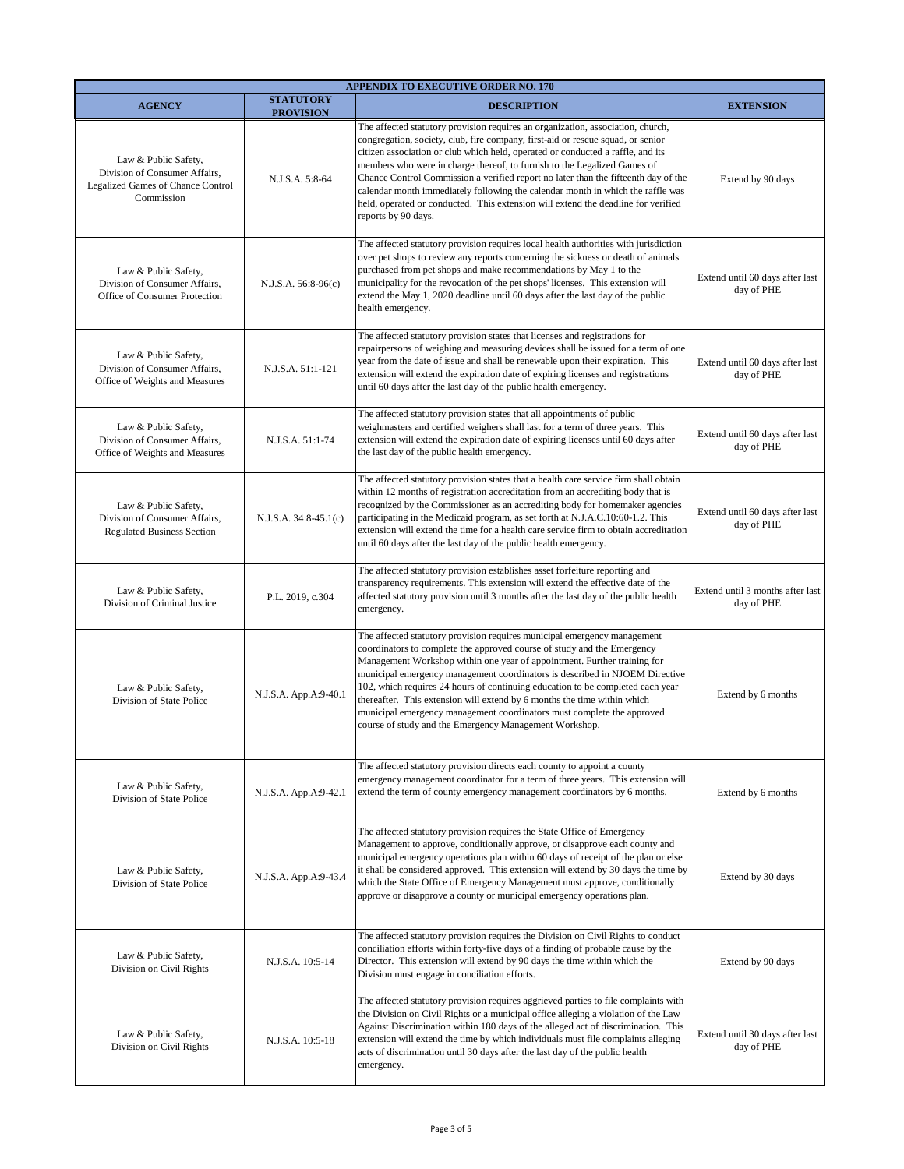| <b>APPENDIX TO EXECUTIVE ORDER NO. 170</b>                                                               |                                      |                                                                                                                                                                                                                                                                                                                                                                                                                                                                                                                                                                                                                        |                                                |
|----------------------------------------------------------------------------------------------------------|--------------------------------------|------------------------------------------------------------------------------------------------------------------------------------------------------------------------------------------------------------------------------------------------------------------------------------------------------------------------------------------------------------------------------------------------------------------------------------------------------------------------------------------------------------------------------------------------------------------------------------------------------------------------|------------------------------------------------|
| <b>AGENCY</b>                                                                                            | <b>STATUTORY</b><br><b>PROVISION</b> | <b>DESCRIPTION</b>                                                                                                                                                                                                                                                                                                                                                                                                                                                                                                                                                                                                     | <b>EXTENSION</b>                               |
| Law & Public Safety,<br>Division of Consumer Affairs,<br>Legalized Games of Chance Control<br>Commission | N.J.S.A. 5:8-64                      | The affected statutory provision requires an organization, association, church,<br>congregation, society, club, fire company, first-aid or rescue squad, or senior<br>citizen association or club which held, operated or conducted a raffle, and its<br>members who were in charge thereof, to furnish to the Legalized Games of<br>Chance Control Commission a verified report no later than the fifteenth day of the<br>calendar month immediately following the calendar month in which the raffle was<br>held, operated or conducted. This extension will extend the deadline for verified<br>reports by 90 days. | Extend by 90 days                              |
| Law & Public Safety,<br>Division of Consumer Affairs,<br>Office of Consumer Protection                   | N.J.S.A. 56:8-96(c)                  | The affected statutory provision requires local health authorities with jurisdiction<br>over pet shops to review any reports concerning the sickness or death of animals<br>purchased from pet shops and make recommendations by May 1 to the<br>municipality for the revocation of the pet shops' licenses. This extension will<br>extend the May 1, 2020 deadline until 60 days after the last day of the public<br>health emergency.                                                                                                                                                                                | Extend until 60 days after last<br>day of PHE  |
| Law & Public Safety,<br>Division of Consumer Affairs,<br>Office of Weights and Measures                  | N.J.S.A. 51:1-121                    | The affected statutory provision states that licenses and registrations for<br>repairpersons of weighing and measuring devices shall be issued for a term of one<br>year from the date of issue and shall be renewable upon their expiration. This<br>extension will extend the expiration date of expiring licenses and registrations<br>until 60 days after the last day of the public health emergency.                                                                                                                                                                                                             | Extend until 60 days after last<br>day of PHE  |
| Law & Public Safety,<br>Division of Consumer Affairs,<br>Office of Weights and Measures                  | N.J.S.A. 51:1-74                     | The affected statutory provision states that all appointments of public<br>weighmasters and certified weighers shall last for a term of three years. This<br>extension will extend the expiration date of expiring licenses until 60 days after<br>the last day of the public health emergency.                                                                                                                                                                                                                                                                                                                        | Extend until 60 days after last<br>day of PHE  |
| Law & Public Safety,<br>Division of Consumer Affairs,<br><b>Regulated Business Section</b>               | $N.J.S.A. 34:8-45.1(c)$              | The affected statutory provision states that a health care service firm shall obtain<br>within 12 months of registration accreditation from an accrediting body that is<br>recognized by the Commissioner as an accrediting body for homemaker agencies<br>participating in the Medicaid program, as set forth at N.J.A.C.10:60-1.2. This<br>extension will extend the time for a health care service firm to obtain accreditation<br>until 60 days after the last day of the public health emergency.                                                                                                                 | Extend until 60 days after last<br>day of PHE  |
| Law & Public Safety,<br>Division of Criminal Justice                                                     | P.L. 2019, c.304                     | The affected statutory provision establishes asset forfeiture reporting and<br>transparency requirements. This extension will extend the effective date of the<br>affected statutory provision until 3 months after the last day of the public health<br>emergency.                                                                                                                                                                                                                                                                                                                                                    | Extend until 3 months after last<br>day of PHE |
| Law & Public Safety,<br>Division of State Police                                                         | N.J.S.A. App.A:9-40.1                | The affected statutory provision requires municipal emergency management<br>coordinators to complete the approved course of study and the Emergency<br>Management Workshop within one year of appointment. Further training for<br>municipal emergency management coordinators is described in NJOEM Directive<br>102, which requires 24 hours of continuing education to be completed each year<br>thereafter. This extension will extend by 6 months the time within which<br>municipal emergency management coordinators must complete the approved<br>course of study and the Emergency Management Workshop.       | Extend by 6 months                             |
| Law & Public Safety,<br>Division of State Police                                                         | N.J.S.A. App.A:9-42.1                | The affected statutory provision directs each county to appoint a county<br>emergency management coordinator for a term of three years. This extension will<br>extend the term of county emergency management coordinators by 6 months.                                                                                                                                                                                                                                                                                                                                                                                | Extend by 6 months                             |
| Law & Public Safety,<br>Division of State Police                                                         | N.J.S.A. App.A:9-43.4                | The affected statutory provision requires the State Office of Emergency<br>Management to approve, conditionally approve, or disapprove each county and<br>municipal emergency operations plan within 60 days of receipt of the plan or else<br>it shall be considered approved. This extension will extend by 30 days the time by<br>which the State Office of Emergency Management must approve, conditionally<br>approve or disapprove a county or municipal emergency operations plan.                                                                                                                              | Extend by 30 days                              |
| Law & Public Safety,<br>Division on Civil Rights                                                         | N.J.S.A. 10:5-14                     | The affected statutory provision requires the Division on Civil Rights to conduct<br>conciliation efforts within forty-five days of a finding of probable cause by the<br>Director. This extension will extend by 90 days the time within which the<br>Division must engage in conciliation efforts.                                                                                                                                                                                                                                                                                                                   | Extend by 90 days                              |
| Law & Public Safety,<br>Division on Civil Rights                                                         | N.J.S.A. 10:5-18                     | The affected statutory provision requires aggrieved parties to file complaints with<br>the Division on Civil Rights or a municipal office alleging a violation of the Law<br>Against Discrimination within 180 days of the alleged act of discrimination. This<br>extension will extend the time by which individuals must file complaints alleging<br>acts of discrimination until 30 days after the last day of the public health<br>emergency.                                                                                                                                                                      | Extend until 30 days after last<br>day of PHE  |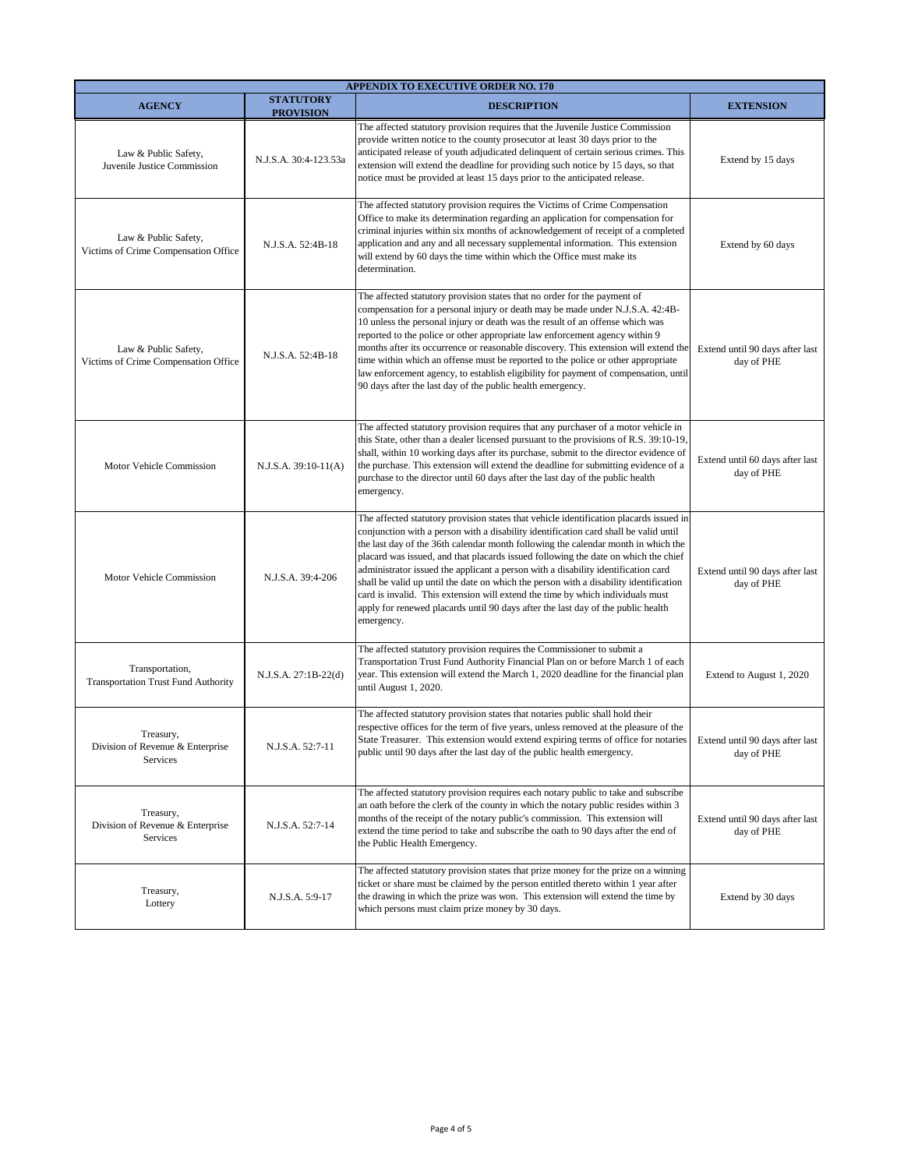| <b>APPENDIX TO EXECUTIVE ORDER NO. 170</b>                    |                                      |                                                                                                                                                                                                                                                                                                                                                                                                                                                                                                                                                                                                                                                                                                                             |                                               |
|---------------------------------------------------------------|--------------------------------------|-----------------------------------------------------------------------------------------------------------------------------------------------------------------------------------------------------------------------------------------------------------------------------------------------------------------------------------------------------------------------------------------------------------------------------------------------------------------------------------------------------------------------------------------------------------------------------------------------------------------------------------------------------------------------------------------------------------------------------|-----------------------------------------------|
| <b>AGENCY</b>                                                 | <b>STATUTORY</b><br><b>PROVISION</b> | <b>DESCRIPTION</b>                                                                                                                                                                                                                                                                                                                                                                                                                                                                                                                                                                                                                                                                                                          | <b>EXTENSION</b>                              |
| Law & Public Safety,<br>Juvenile Justice Commission           | N.J.S.A. 30:4-123.53a                | The affected statutory provision requires that the Juvenile Justice Commission<br>provide written notice to the county prosecutor at least 30 days prior to the<br>anticipated release of youth adjudicated delinquent of certain serious crimes. This<br>extension will extend the deadline for providing such notice by 15 days, so that<br>notice must be provided at least 15 days prior to the anticipated release.                                                                                                                                                                                                                                                                                                    | Extend by 15 days                             |
| Law & Public Safety,<br>Victims of Crime Compensation Office  | N.J.S.A. 52:4B-18                    | The affected statutory provision requires the Victims of Crime Compensation<br>Office to make its determination regarding an application for compensation for<br>criminal injuries within six months of acknowledgement of receipt of a completed<br>application and any and all necessary supplemental information. This extension<br>will extend by 60 days the time within which the Office must make its<br>determination.                                                                                                                                                                                                                                                                                              | Extend by 60 days                             |
| Law & Public Safety,<br>Victims of Crime Compensation Office  | N.J.S.A. 52:4B-18                    | The affected statutory provision states that no order for the payment of<br>compensation for a personal injury or death may be made under N.J.S.A. 42:4B-<br>10 unless the personal injury or death was the result of an offense which was<br>reported to the police or other appropriate law enforcement agency within 9<br>months after its occurrence or reasonable discovery. This extension will extend the<br>time within which an offense must be reported to the police or other appropriate<br>law enforcement agency, to establish eligibility for payment of compensation, until<br>90 days after the last day of the public health emergency.                                                                   | Extend until 90 days after last<br>day of PHE |
| Motor Vehicle Commission                                      | $N.J.S.A. 39:10-11(A)$               | The affected statutory provision requires that any purchaser of a motor vehicle in<br>this State, other than a dealer licensed pursuant to the provisions of R.S. 39:10-19,<br>shall, within 10 working days after its purchase, submit to the director evidence of<br>the purchase. This extension will extend the deadline for submitting evidence of a<br>purchase to the director until 60 days after the last day of the public health<br>emergency.                                                                                                                                                                                                                                                                   | Extend until 60 days after last<br>day of PHE |
| Motor Vehicle Commission                                      | N.J.S.A. 39:4-206                    | The affected statutory provision states that vehicle identification placards issued in<br>conjunction with a person with a disability identification card shall be valid until<br>the last day of the 36th calendar month following the calendar month in which the<br>placard was issued, and that placards issued following the date on which the chief<br>administrator issued the applicant a person with a disability identification card<br>shall be valid up until the date on which the person with a disability identification<br>card is invalid. This extension will extend the time by which individuals must<br>apply for renewed placards until 90 days after the last day of the public health<br>emergency. | Extend until 90 days after last<br>day of PHE |
| Transportation,<br><b>Transportation Trust Fund Authority</b> | N.J.S.A. 27:1B-22(d)                 | The affected statutory provision requires the Commissioner to submit a<br>Transportation Trust Fund Authority Financial Plan on or before March 1 of each<br>year. This extension will extend the March 1, 2020 deadline for the financial plan<br>until August 1, 2020.                                                                                                                                                                                                                                                                                                                                                                                                                                                    | Extend to August 1, 2020                      |
| Treasury,<br>Division of Revenue & Enterprise<br>Services     | N.J.S.A. 52:7-11                     | The affected statutory provision states that notaries public shall hold their<br>respective offices for the term of five years, unless removed at the pleasure of the<br>State Treasurer. This extension would extend expiring terms of office for notaries Extend until 90 days after last<br>public until 90 days after the last day of the public health emergency.                                                                                                                                                                                                                                                                                                                                                      | day of PHE                                    |
| Treasury,<br>Division of Revenue & Enterprise<br>Services     | N.J.S.A. 52:7-14                     | The affected statutory provision requires each notary public to take and subscribe<br>an oath before the clerk of the county in which the notary public resides within 3<br>months of the receipt of the notary public's commission. This extension will<br>extend the time period to take and subscribe the oath to 90 days after the end of<br>the Public Health Emergency.                                                                                                                                                                                                                                                                                                                                               | Extend until 90 days after last<br>day of PHE |
| Treasury,<br>Lottery                                          | N.J.S.A. 5:9-17                      | The affected statutory provision states that prize money for the prize on a winning<br>ticket or share must be claimed by the person entitled thereto within 1 year after<br>the drawing in which the prize was won. This extension will extend the time by<br>which persons must claim prize money by 30 days.                                                                                                                                                                                                                                                                                                                                                                                                             | Extend by 30 days                             |